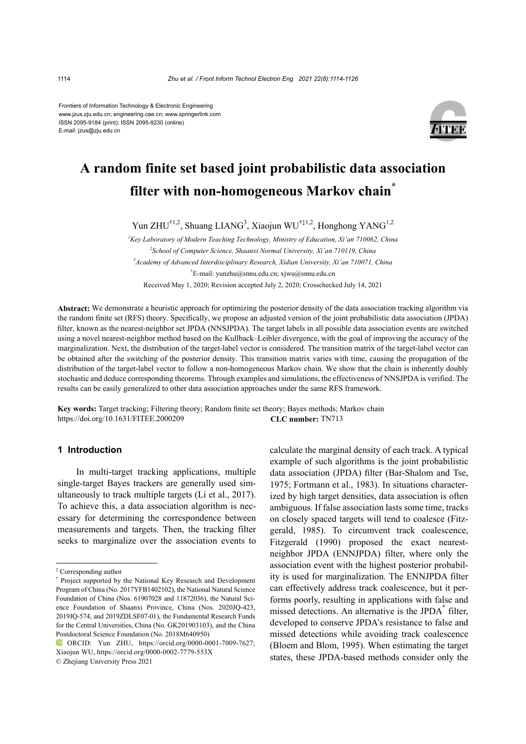Frontiers of Information Technology & Electronic Engineering www.jzus.zju.edu.cn; engineering.cae.cn; www.springerlink.com ISSN 2095-9184 (print); ISSN 2095-9230 (online) E-mail: jzus@zju.edu.cn



# **A random finite set based joint probabilistic data association filter with non-homogeneous Markov chain\***

Yun ZHU<sup>†1,2</sup>, Shuang LIANG<sup>3</sup>, Xiaojun WU<sup>†‡1,2</sup>, Honghong YANG<sup>1,2</sup>

<sup>1</sup> Key Laboratory of Modern Teaching Technology, Ministry of Education, Xi'an 710062, China <sup>2</sup> School of Computer Science, Shaanxi Normal University, Xi'an 710119, China *3 Academy of Advanced Interdisciplinary Research, Xidian University, Xi'an 710071, China*  † E-mail: yunzhu@snnu.edu.cn; xjwu@snnu.edu.cn Received May 1, 2020; Revision accepted July 2, 2020; Crosschecked July 14, 2021

**Abstract:** We demonstrate a heuristic approach for optimizing the posterior density of the data association tracking algorithm via the random finite set (RFS) theory. Specifically, we propose an adjusted version of the joint probabilistic data association (JPDA) filter, known as the nearest-neighbor set JPDA (NNSJPDA). The target labels in all possible data association events are switched using a novel nearest-neighbor method based on the Kullback–Leibler divergence, with the goal of improving the accuracy of the marginalization. Next, the distribution of the target-label vector is considered. The transition matrix of the target-label vector can be obtained after the switching of the posterior density. This transition matrix varies with time, causing the propagation of the distribution of the target-label vector to follow a non-homogeneous Markov chain. We show that the chain is inherently doubly stochastic and deduce corresponding theorems. Through examples and simulations, the effectiveness of NNSJPDA is verified. The results can be easily generalized to other data association approaches under the same RFS framework.

**Key words:** Target tracking; Filtering theory; Random finite set theory; Bayes methods; Markov chain https://doi.org/10.1631/FITEE.2000209 **CLC number:** TN713

# **1 Introduction**

In multi-target tracking applications, multiple single-target Bayes trackers are generally used simultaneously to track multiple targets (Li et al., 2017). To achieve this, a data association algorithm is necessary for determining the correspondence between measurements and targets. Then, the tracking filter seeks to marginalize over the association events to

© Zhejiang University Press 2021

calculate the marginal density of each track. A typical example of such algorithms is the joint probabilistic data association (JPDA) filter (Bar-Shalom and Tse, 1975; Fortmann et al., 1983). In situations characterized by high target densities, data association is often ambiguous. If false association lasts some time, tracks on closely spaced targets will tend to coalesce (Fitzgerald, 1985). To circumvent track coalescence, Fitzgerald (1990) proposed the exact nearestneighbor JPDA (ENNJPDA) filter, where only the association event with the highest posterior probability is used for marginalization. The ENNJPDA filter can effectively address track coalescence, but it performs poorly, resulting in applications with false and missed detections. An alternative is the JPDA\* filter, developed to conserve JPDA's resistance to false and missed detections while avoiding track coalescence (Bloem and Blom, 1995). When estimating the target states, these JPDA-based methods consider only the

<sup>‡</sup> Corresponding author

<sup>\*</sup> Project supported by the National Key Research and Development Program of China (No. 2017YFB1402102), the National Natural Science Foundation of China (Nos. 61907028 and 11872036), the Natural Science Foundation of Shaanxi Province, China (Nos. 2020JQ-423, 2019JQ-574, and 2019ZDLSF07-01), the Fundamental Research Funds for the Central Universities, China (No. GK201903103), and the China Postdoctoral Science Foundation (No. 2018M640950)

ORCID: Yun ZHU, https://orcid.org/0000-0001-7009-7627; Xiaojun WU, https://orcid.org/0000-0002-7779-553X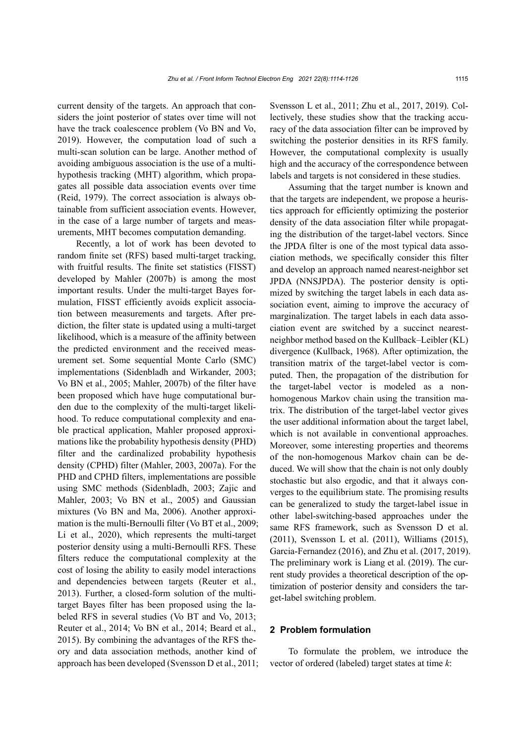current density of the targets. An approach that considers the joint posterior of states over time will not have the track coalescence problem (Vo BN and Vo, 2019). However, the computation load of such a multi-scan solution can be large. Another method of avoiding ambiguous association is the use of a multihypothesis tracking (MHT) algorithm, which propagates all possible data association events over time (Reid, 1979). The correct association is always obtainable from sufficient association events. However, in the case of a large number of targets and measurements, MHT becomes computation demanding.

Recently, a lot of work has been devoted to random finite set (RFS) based multi-target tracking, with fruitful results. The finite set statistics (FISST) developed by Mahler (2007b) is among the most important results. Under the multi-target Bayes formulation, FISST efficiently avoids explicit association between measurements and targets. After prediction, the filter state is updated using a multi-target likelihood, which is a measure of the affinity between the predicted environment and the received measurement set. Some sequential Monte Carlo (SMC) implementations (Sidenbladh and Wirkander, 2003; Vo BN et al., 2005; Mahler, 2007b) of the filter have been proposed which have huge computational burden due to the complexity of the multi-target likelihood. To reduce computational complexity and enable practical application, Mahler proposed approximations like the probability hypothesis density (PHD) filter and the cardinalized probability hypothesis density (CPHD) filter (Mahler, 2003, 2007a). For the PHD and CPHD filters, implementations are possible using SMC methods (Sidenbladh, 2003; Zajic and Mahler, 2003; Vo BN et al., 2005) and Gaussian mixtures (Vo BN and Ma, 2006). Another approximation is the multi-Bernoulli filter (Vo BT et al., 2009; Li et al., 2020), which represents the multi-target posterior density using a multi-Bernoulli RFS. These filters reduce the computational complexity at the cost of losing the ability to easily model interactions and dependencies between targets (Reuter et al., 2013). Further, a closed-form solution of the multitarget Bayes filter has been proposed using the labeled RFS in several studies (Vo BT and Vo, 2013; Reuter et al., 2014; Vo BN et al., 2014; Beard et al., 2015). By combining the advantages of the RFS theory and data association methods, another kind of approach has been developed (Svensson D et al., 2011; Svensson L et al., 2011; Zhu et al., 2017, 2019). Collectively, these studies show that the tracking accuracy of the data association filter can be improved by switching the posterior densities in its RFS family. However, the computational complexity is usually high and the accuracy of the correspondence between labels and targets is not considered in these studies.

Assuming that the target number is known and that the targets are independent, we propose a heuristics approach for efficiently optimizing the posterior density of the data association filter while propagating the distribution of the target-label vectors. Since the JPDA filter is one of the most typical data association methods, we specifically consider this filter and develop an approach named nearest-neighbor set JPDA (NNSJPDA). The posterior density is optimized by switching the target labels in each data association event, aiming to improve the accuracy of marginalization. The target labels in each data association event are switched by a succinct nearestneighbor method based on the Kullback–Leibler (KL) divergence (Kullback, 1968). After optimization, the transition matrix of the target-label vector is computed. Then, the propagation of the distribution for the target-label vector is modeled as a nonhomogenous Markov chain using the transition matrix. The distribution of the target-label vector gives the user additional information about the target label, which is not available in conventional approaches. Moreover, some interesting properties and theorems of the non-homogenous Markov chain can be deduced. We will show that the chain is not only doubly stochastic but also ergodic, and that it always converges to the equilibrium state. The promising results can be generalized to study the target-label issue in other label-switching-based approaches under the same RFS framework, such as Svensson D et al. (2011), Svensson L et al. (2011), Williams (2015), Garcia-Fernandez (2016), and Zhu et al. (2017, 2019). The preliminary work is Liang et al. (2019). The current study provides a theoretical description of the optimization of posterior density and considers the target-label switching problem.

#### **2 Problem formulation**

To formulate the problem, we introduce the vector of ordered (labeled) target states at time *k*: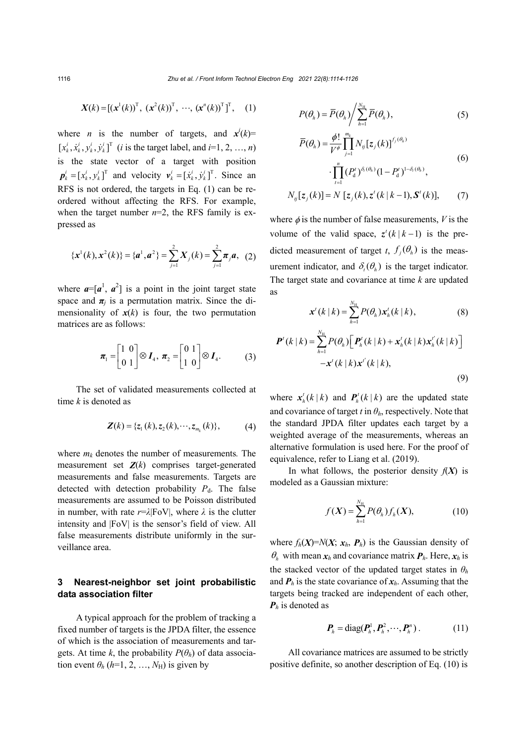$$
X(k) = [(x^1(k))^T, (x^2(k))^T, \cdots, (x^n(k))^T]^T,
$$
 (1)

where *n* is the number of targets, and  $x^{i}(k)$ =  $[x_k^i, \dot{x}_k^i, y_k^i, \dot{y}_k^i]^T$  (*i* is the target label, and *i*=1, 2, …, *n*) is the state vector of a target with position  $\boldsymbol{p}_k^i = [x_k^i, y_k^i]^T$  and velocity  $\boldsymbol{v}_k^i = [\dot{x}_k^i, \dot{y}_k^i]^T$ . Since an RFS is not ordered, the targets in Eq. (1) can be reordered without affecting the RFS. For example, when the target number  $n=2$ , the RFS family is expressed as

$$
\{\mathbf{x}^1(k),\mathbf{x}^2(k)\}=\{\mathbf{a}^1,\mathbf{a}^2\}=\sum_{j=1}^2\mathbf{X}_j(k)=\sum_{j=1}^2\boldsymbol{\pi}_j\mathbf{a},\ \ (2)
$$

where  $a=[a^1, a^2]$  is a point in the joint target state space and  $\pi_j$  is a permutation matrix. Since the dimensionality of  $x(k)$  is four, the two permutation matrices are as follows:

$$
\boldsymbol{\pi}_1 = \begin{bmatrix} 1 & 0 \\ 0 & 1 \end{bmatrix} \otimes \boldsymbol{I}_4, \ \boldsymbol{\pi}_2 = \begin{bmatrix} 0 & 1 \\ 1 & 0 \end{bmatrix} \otimes \boldsymbol{I}_4. \tag{3}
$$

The set of validated measurements collected at time *k* is denoted as

$$
\mathbf{Z}(k) = \{z_1(k), z_2(k), \cdots, z_{m_k}(k)\},\tag{4}
$$

where  $m_k$  denotes the number of measurements. The measurement set  $Z(k)$  comprises target-generated measurements and false measurements. Targets are detected with detection probability  $P<sub>d</sub>$ . The false measurements are assumed to be Poisson distributed in number, with rate *r*=*λ*|FoV|, where *λ* is the clutter intensity and |FoV| is the sensor's field of view. All false measurements distribute uniformly in the surveillance area.

# **3 Nearest-neighbor set joint probabilistic data association filter**

A typical approach for the problem of tracking a fixed number of targets is the JPDA filter, the essence of which is the association of measurements and targets. At time *k*, the probability  $P(\theta_h)$  of data association event  $\theta_h$  (*h*=1, 2, …, *N*<sub>H</sub>) is given by

$$
P(\theta_h) = \overline{P}(\theta_h) / \sum_{h=1}^{N_{\rm H}} \overline{P}(\theta_h),
$$
\n(5)

$$
\overline{P}(\theta_h) = \frac{\phi!}{V^{\phi}} \prod_{j=1}^{m_k} N_{ij} [z_j(k)]^{f_j(\theta_h)}
$$
\n
$$
\cdot \prod_{t=1}^n (P'_d)^{\delta_i(\theta_h)} (1 - P'_d)^{1 - \delta_i(\theta_h)},
$$
\n(6)

$$
N_{ij}[z_j(k)] = N[z_j(k), z^{\prime}(k | k-1), \mathbf{S}^{\prime}(k)], \qquad (7)
$$

*t*

 $\overline{a}$ 

where  $\phi$  is the number of false measurements, *V* is the volume of the valid space,  $z^{t}(k | k - 1)$  is the predicted measurement of target *t*,  $f_i(\theta_h)$  is the measurement indicator, and  $\delta_{i}(\theta_{i})$  is the target indicator. The target state and covariance at time *k* are updated as

$$
\mathbf{x}'(k|k) = \sum_{h=1}^{N_{\rm H}} P(\theta_h) \mathbf{x}'_h(k|k), \qquad (8)
$$

$$
\boldsymbol{P}^{t}(k|k) = \sum_{h=1}^{N_{\mathrm{H}}} P(\theta_{h}) \Big[ \boldsymbol{P}_{h}^{t}(k|k) + \boldsymbol{x}_{h}^{t}(k|k) \boldsymbol{x}_{h}^{t'}(k|k) \Big] - \boldsymbol{x}^{t}(k|k) \boldsymbol{x}^{t'}(k|k), \tag{9}
$$

where  $\mathbf{x}_h^t(k|k)$  and  $\mathbf{P}_h^t(k|k)$  are the updated state and covariance of target *t* in  $\theta_h$ , respectively. Note that the standard JPDA filter updates each target by a weighted average of the measurements, whereas an alternative formulation is used here. For the proof of equivalence, refer to Liang et al. (2019).

In what follows, the posterior density  $f(X)$  is modeled as a Gaussian mixture:

$$
f(X) = \sum_{h=1}^{N_{\rm H}} P(\theta_h) f_h(X),
$$
 (10)

where  $f_h(X) = N(X; x_h, P_h)$  is the Gaussian density of  $\theta_h$  with mean  $x_h$  and covariance matrix  $P_h$ . Here,  $x_h$  is the stacked vector of the updated target states in  $\theta_h$ and  $P_h$  is the state covariance of  $x_h$ . Assuming that the targets being tracked are independent of each other, *Ph* is denoted as

$$
\boldsymbol{P}_h = \text{diag}(\boldsymbol{P}_h^1, \boldsymbol{P}_h^2, \cdots, \boldsymbol{P}_h^n). \tag{11}
$$

All covariance matrices are assumed to be strictly positive definite, so another description of Eq. (10) is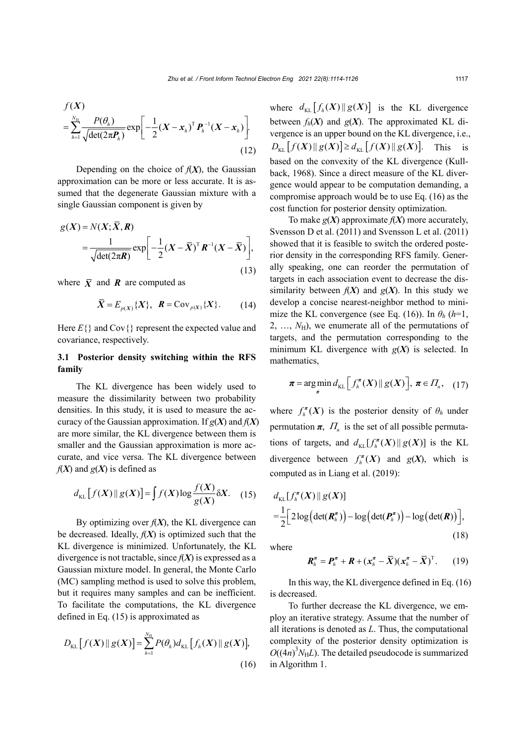$$
f(X)
$$
  
= 
$$
\sum_{h=1}^{N_{\rm H}} \frac{P(\theta_h)}{\sqrt{\det(2\pi \boldsymbol{P}_h)}} \exp\left[-\frac{1}{2}(\boldsymbol{X} - \boldsymbol{x}_h)^{\rm T} \boldsymbol{P}_h^{-1}(\boldsymbol{X} - \boldsymbol{x}_h)\right].
$$
 (12)

Depending on the choice of  $f(X)$ , the Gaussian approximation can be more or less accurate. It is assumed that the degenerate Gaussian mixture with a single Gaussian component is given by

$$
g(X) = N(X; \overline{X}, \mathbf{R})
$$
  
= 
$$
\frac{1}{\sqrt{\det(2\pi \mathbf{R})}} \exp\left[-\frac{1}{2}(X - \overline{X})^{\mathrm{T}} \mathbf{R}^{-1} (X - \overline{X})\right],
$$
 (13)

where  $\bar{X}$  and **R** are computed as

$$
\overline{X} = E_{p(X)}\{X\}, \quad \mathbf{R} = \text{Cov}_{p(X)}\{X\}. \tag{14}
$$

Here  $E\{\}$  and Cov $\{\}$  represent the expected value and covariance, respectively.

## **3.1 Posterior density switching within the RFS family**

The KL divergence has been widely used to measure the dissimilarity between two probability densities. In this study, it is used to measure the accuracy of the Gaussian approximation. If *g*(*X*) and *f*(*X*) are more similar, the KL divergence between them is smaller and the Gaussian approximation is more accurate, and vice versa. The KL divergence between  $f(X)$  and  $g(X)$  is defined as

$$
d_{\mathrm{KL}}\left[f(X)\,\|\,g(X)\right] = \int f(X)\log\frac{f(X)}{g(X)}\delta X.\tag{15}
$$

By optimizing over  $f(X)$ , the KL divergence can be decreased. Ideally,  $f(X)$  is optimized such that the KL divergence is minimized. Unfortunately, the KL divergence is not tractable, since  $f(X)$  is expressed as a Gaussian mixture model. In general, the Monte Carlo (MC) sampling method is used to solve this problem, but it requires many samples and can be inefficient. To facilitate the computations, the KL divergence defined in Eq. (15) is approximated as

$$
D_{\text{KL}}[f(X) \| g(X)] = \sum_{h=1}^{N_{\text{H}}} P(\theta_h) d_{\text{KL}}[f_h(X) \| g(X)],
$$
\n(16)

where  $d_{\text{KL}}[f_h(X) || g(X)]$  is the KL divergence between  $f_h(X)$  and  $g(X)$ . The approximated KL divergence is an upper bound on the KL divergence, i.e.,  $D_{\text{KL}}[f(X) \| g(X)] \ge d_{\text{KL}}[f(X) \| g(X)].$  This is based on the convexity of the KL divergence (Kullback, 1968). Since a direct measure of the KL divergence would appear to be computation demanding, a compromise approach would be to use Eq. (16) as the cost function for posterior density optimization.

To make  $g(X)$  approximate  $f(X)$  more accurately, Svensson D et al. (2011) and Svensson L et al. (2011) showed that it is feasible to switch the ordered posterior density in the corresponding RFS family. Generally speaking, one can reorder the permutation of targets in each association event to decrease the dissimilarity between  $f(X)$  and  $g(X)$ . In this study we develop a concise nearest-neighbor method to minimize the KL convergence (see Eq. (16)). In  $\theta_h$  (*h*=1, 2, ...,  $N_{\rm H}$ ), we enumerate all of the permutations of targets, and the permutation corresponding to the minimum KL divergence with  $g(X)$  is selected. In mathematics,

$$
\boldsymbol{\pi} = \argmin_{\boldsymbol{\pi}} d_{\mathrm{KL}} \left[ f_h^{\boldsymbol{\pi}}(X) \, \| \, g(X) \right], \, \boldsymbol{\pi} \in \varPi_n, \quad (17)
$$

where  $f_h^{\pi}(X)$  is the posterior density of  $\theta_h$  under permutation  $\pi$ ,  $\Pi_n$  is the set of all possible permutations of targets, and  $d_{KL}[ f_n^{\pi}(X) || g(X) ]$  is the KL divergence between  $f<sub>h</sub><sup>\pi</sup>(X)$  and  $g(X)$ , which is computed as in Liang et al. (2019):

$$
d_{\text{KL}}[f_h^{\pi}(X) || g(X)]
$$
  
=  $\frac{1}{2} \Big[ 2 \log \Big( \det(R_h^{\pi}) \Big) - \log \Big( \det(P_h^{\pi}) \Big) - \log \Big( \det(R) \Big) \Big],$  (18)

where

$$
\boldsymbol{R}_{h}^{\boldsymbol{\pi}} = \boldsymbol{P}_{h}^{\boldsymbol{\pi}} + \boldsymbol{R} + (\boldsymbol{x}_{h}^{\boldsymbol{\pi}} - \bar{\boldsymbol{X}})(\boldsymbol{x}_{h}^{\boldsymbol{\pi}} - \bar{\boldsymbol{X}})^{\mathrm{T}}.
$$
 (19)

In this way, the KL divergence defined in Eq. (16) is decreased.

To further decrease the KL divergence, we employ an iterative strategy. Assume that the number of all iterations is denoted as *L*. Thus, the computational complexity of the posterior density optimization is  $O((4n)^3 N_H L)$ . The detailed pseudocode is summarized in Algorithm 1.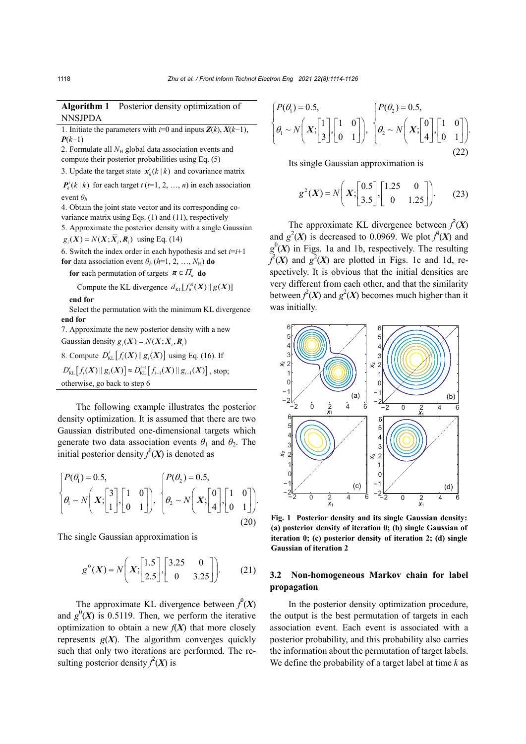|                | <b>Algorithm 1</b> Posterior density optimization of |
|----------------|------------------------------------------------------|
| <b>NNSJPDA</b> |                                                      |

1. Initiate the parameters with *i*=0 and inputs  $\mathbf{Z}(k)$ ,  $\mathbf{X}(k-1)$ , *P*(*k*−1)

2. Formulate all  $N_H$  global data association events and compute their posterior probabilities using Eq. (5)

3. Update the target state  $\mathbf{x}_h^t(k | k)$  and covariance matrix

 $P_h^t(k | k)$  for each target  $t$  ( $t=1, 2, ..., n$ ) in each association event *θ<sup>h</sup>*

4. Obtain the joint state vector and its corresponding covariance matrix using Eqs. (1) and (11), respectively 5. Approximate the posterior density with a single Gaussian

 $g_i(X) = N(X; \overline{X}_i, R_i)$  using Eq. (14)

6. Switch the index order in each hypothesis and set  $i=i+1$ **for** data association event  $\theta_h$  (*h*=1, 2, …, *N*H) **do** 

**for** each permutation of targets  $\boldsymbol{\pi} \in \Pi_n$  **do** 

Compute the KL divergence  $d_{\text{KL}}[ f_h^{\pi}(X) || g(X) ]$ 

**end for** 

Select the permutation with the minimum KL divergence **end for** 

7. Approximate the new posterior density with a new Gaussian density  $g_i(X) = N(X; \overline{X}_i, R_i)$ 

8. Compute  $D_{\text{KL}}^{i} [ f_i(X) || g_i(X) ]$  using Eq. (16). If

 $D_{\text{KL}}^i[f_i(X) \mid g_i(X)] \approx D_{\text{KL}}^{i-1}[f_{i-1}(X) \mid g_{i-1}(X)]$ , stop; otherwise, go back to step 6

The following example illustrates the posterior density optimization. It is assumed that there are two Gaussian distributed one-dimensional targets which generate two data association events  $\theta_1$  and  $\theta_2$ . The initial posterior density  $f^{0}(X)$  is denoted as

$$
\begin{cases}\nP(\theta_1) = 0.5, \\
\theta_1 \sim N\left(X; \begin{bmatrix} 3 \\ 1 \end{bmatrix}, \begin{bmatrix} 1 & 0 \\ 0 & 1 \end{bmatrix}\right), \quad \begin{cases} P(\theta_2) = 0.5, \\
\theta_2 \sim N\left(X; \begin{bmatrix} 0 \\ 4 \end{bmatrix}, \begin{bmatrix} 1 & 0 \\ 0 & 1 \end{bmatrix}\right).\n\end{cases}
$$
\n(20)

The single Gaussian approximation is

$$
g^{0}(X) = N\left(X; \begin{bmatrix} 1.5\\2.5 \end{bmatrix}, \begin{bmatrix} 3.25 & 0\\0 & 3.25 \end{bmatrix}\right).
$$
 (21)

The approximate KL divergence between  $f^{0}(X)$ and  $g^0(X)$  is 0.5119. Then, we perform the iterative optimization to obtain a new  $f(X)$  that more closely represents  $g(X)$ . The algorithm converges quickly such that only two iterations are performed. The resulting posterior density  $\hat{f}(X)$  is

$$
\begin{cases}\nP(\theta_1) = 0.5, \\
\theta_1 \sim N\left(X; \begin{bmatrix} 1 \\ 3 \end{bmatrix}, \begin{bmatrix} 1 & 0 \\ 0 & 1 \end{bmatrix}\right), \quad \begin{cases}\nP(\theta_2) = 0.5, \\
\theta_2 \sim N\left(X; \begin{bmatrix} 0 \\ 4 \end{bmatrix}, \begin{bmatrix} 1 & 0 \\ 0 & 1 \end{bmatrix}\right).\n\end{cases}
$$
\n(22)

Its single Gaussian approximation is

$$
g^{2}(X) = N\left(X; \begin{bmatrix} 0.5\\3.5 \end{bmatrix}, \begin{bmatrix} 1.25 & 0\\0 & 1.25 \end{bmatrix}\right).
$$
 (23)

The approximate KL divergence between  $\hat{f}(X)$ and  $g^2(X)$  is decreased to 0.0969. We plot  $f^0(X)$  and  $g^0(X)$  in Figs. 1a and 1b, respectively. The resulting  $f^2(X)$  and  $g^2(X)$  are plotted in Figs. 1c and 1d, respectively. It is obvious that the initial densities are very different from each other, and that the similarity between  $f^2(X)$  and  $g^2(X)$  becomes much higher than it was initially.



**Fig. 1 Posterior density and its single Gaussian density: (a) posterior density of iteration 0; (b) single Gaussian of iteration 0; (c) posterior density of iteration 2; (d) single Gaussian of iteration 2** 

## **3.2 Non-homogeneous Markov chain for label propagation**

In the posterior density optimization procedure, the output is the best permutation of targets in each association event. Each event is associated with a posterior probability, and this probability also carries the information about the permutation of target labels. We define the probability of a target label at time *k* as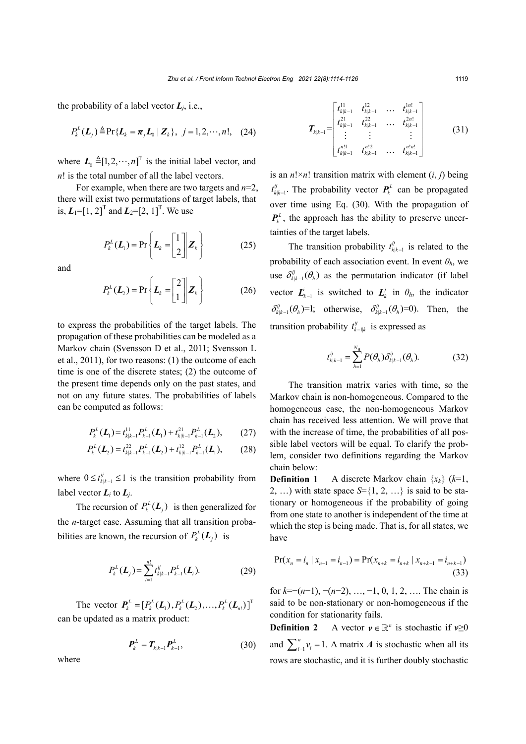the probability of a label vector  $L_i$ , i.e.,

$$
P_k^L(\boldsymbol{L}_j) \triangleq \Pr\{\boldsymbol{L}_k = \boldsymbol{\pi}_j \boldsymbol{L}_0 \mid \boldsymbol{Z}_k\}, \ \ j = 1, 2, \cdots, n!, \ \ (24)
$$

where  $\mathbf{L}_0 \triangleq [1, 2, \dots, n]^\text{T}$  is the initial label vector, and *n*! is the total number of all the label vectors.

For example, when there are two targets and *n*=2, there will exist two permutations of target labels, that is,  $L_1 = [1, 2]^T$  and  $L_2 = [2, 1]^T$ . We use

$$
P_k^L(L_1) = \Pr\left\{L_k = \begin{bmatrix} 1 \\ 2 \end{bmatrix} \mathbf{Z}_k\right\} \tag{25}
$$

and

$$
P_k^L(L_2) = \Pr\left\{L_k = \begin{bmatrix} 2 \\ 1 \end{bmatrix} \mathbf{Z}_k\right\} \tag{26}
$$

to express the probabilities of the target labels. The propagation of these probabilities can be modeled as a Markov chain (Svensson D et al., 2011; Svensson L et al., 2011), for two reasons: (1) the outcome of each time is one of the discrete states; (2) the outcome of the present time depends only on the past states, and not on any future states. The probabilities of labels can be computed as follows:

$$
P_k^L(\mathbf{L}_1) = t_{k|k-1}^{11} P_{k-1}^L(\mathbf{L}_1) + t_{k|k-1}^{21} P_{k-1}^L(\mathbf{L}_2), \qquad (27)
$$

$$
P_k^L(\boldsymbol{L}_2) = t_{k|k-1}^{22} P_{k-1}^L(\boldsymbol{L}_2) + t_{k|k-1}^{12} P_{k-1}^L(\boldsymbol{L}_1),
$$
 (28)

where  $0 \le t^{ij}_{k|k-1} \le 1$  is the transition probability from label vector  $L_i$  to  $L_i$ .

The recursion of  $P_k^L(L_i)$  is then generalized for the *n*-target case. Assuming that all transition probabilities are known, the recursion of  $P_k^L(L_i)$  is

$$
P_k^L(\boldsymbol{L}_j) = \sum_{i=1}^{n!} t_{k|k-1}^{ij} P_{k-1}^L(\boldsymbol{L}_i). \tag{29}
$$

The vector  $P_k^L = [P_k^L(\mathbf{L}_1), P_k^L(\mathbf{L}_2), ..., P_k^L(\mathbf{L}_{n}])]^T$ can be updated as a matrix product:

$$
P_k^L = T_{k|k-1} P_{k-1}^L, \t\t(30)
$$

where

$$
\boldsymbol{T}_{k|k-1} = \begin{bmatrix} t_{k|k-1}^{11} & t_{k|k-1}^{12} & \dots & t_{k|k-1}^{1n!} \\ t_{k|k-1}^{21} & t_{k|k-1}^{22} & \dots & t_{k|k-1}^{2n!} \\ \vdots & \vdots & & \vdots \\ t_{k|k-1}^{n11} & t_{k|k-1}^{n12} & \dots & t_{k|k-1}^{n1n!} \end{bmatrix}
$$
 (31)

is an  $n! \times n!$ ! transition matrix with element  $(i, j)$  being  $t_{k|k-1}^{ij}$ . The probability vector  $P_k^L$  can be propagated over time using Eq. (30). With the propagation of  $P_k^L$ , the approach has the ability to preserve uncertainties of the target labels.

The transition probability  $t_{k|k-1}^{ij}$  is related to the probability of each association event. In event *θh*, we use  $\delta_{k|k-1}^{ij}(\theta_h)$  as the permutation indicator (if label vector  $\mathbf{L}_{k-1}^i$  is switched to  $\mathbf{L}_k^j$  in  $\theta_h$ , the indicator  $\delta_{k|k-1}^{ij}(\theta_h)$ =1; otherwise,  $\delta_{k|k-1}^{ij}(\theta_h)$ =0). Then, the transition probability  $t_{k-1|k}^{ij}$  is expressed as

$$
t_{k|k-1}^{ij} = \sum_{h=1}^{N_{\rm H}} P(\theta_h) \delta_{k|k-1}^{ij}(\theta_h).
$$
 (32)

The transition matrix varies with time, so the Markov chain is non-homogeneous. Compared to the homogeneous case, the non-homogeneous Markov chain has received less attention. We will prove that with the increase of time, the probabilities of all possible label vectors will be equal. To clarify the problem, consider two definitions regarding the Markov chain below:

**Definition 1** A discrete Markov chain  $\{x_k\}$  ( $k=1$ , 2, ...) with state space  $S = \{1, 2, ...\}$  is said to be stationary or homogeneous if the probability of going from one state to another is independent of the time at which the step is being made. That is, for all states, we have

$$
\Pr(x_n = i_n \mid x_{n-1} = i_{n-1}) = \Pr(x_{n+k} = i_{n+k} \mid x_{n+k-1} = i_{n+k-1})
$$
\n(33)

for *k*=−(*n*−1), −(*n*−2), …, −1, 0, 1, 2, …. The chain is said to be non-stationary or non-homogeneous if the condition for stationarity fails.

**Definition 2** A vector  $y \in \mathbb{R}^n$  is stochastic if  $v \ge 0$ and  $\sum_{i=1}^{n} v_i = 1$ . A matrix *A* is stochastic when all its rows are stochastic, and it is further doubly stochastic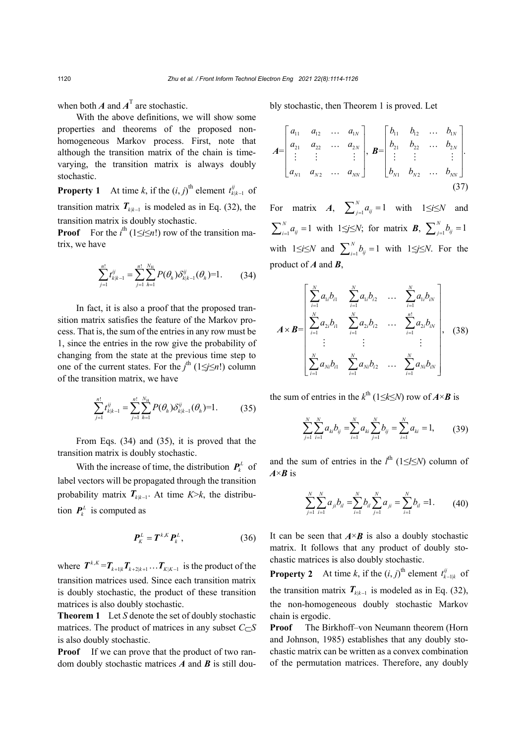when both  $A$  and  $A<sup>T</sup>$  are stochastic.

With the above definitions, we will show some properties and theorems of the proposed nonhomogeneous Markov process. First, note that although the transition matrix of the chain is timevarying, the transition matrix is always doubly stochastic.

**Property 1** At time *k*, if the  $(i, j)$ <sup>th</sup> element  $t_{k|k-1}^{ij}$  of transition matrix  $T_{k|k-1}$  is modeled as in Eq. (32), the transition matrix is doubly stochastic.

**Proof** For the  $i^{\text{th}}$  (1≤*i*≤*n*!) row of the transition matrix, we have

$$
\sum_{j=1}^{n!} t_{k|k-1}^{ij} = \sum_{j=1}^{n!} \sum_{h=1}^{N_{\rm H}} P(\theta_h) \delta_{k|k-1}^{ij}(\theta_h) = 1.
$$
 (34)

In fact, it is also a proof that the proposed transition matrix satisfies the feature of the Markov process. That is, the sum of the entries in any row must be 1, since the entries in the row give the probability of changing from the state at the previous time step to one of the current states. For the *j*th (1≤*j*≤*n*!) column of the transition matrix, we have

$$
\sum_{j=1}^{n!} t_{k|k-1}^{ij} = \sum_{j=1}^{n!} \sum_{h=1}^{N_{\rm H}} P(\theta_h) \delta_{k|k-1}^{ij}(\theta_h) = 1.
$$
 (35)

From Eqs. (34) and (35), it is proved that the transition matrix is doubly stochastic.

With the increase of time, the distribution  $P_k^L$  of label vectors will be propagated through the transition probability matrix  $T_{k|k-1}$ . At time  $K > k$ , the distribution  $P_k^L$  is computed as

$$
\boldsymbol{P}_K^L = \boldsymbol{T}^{k,K} \boldsymbol{P}_k^L, \tag{36}
$$

where  $T^{k,K} = T_{k+1|k} T_{k+2|k+1} \dots T_{K|K-1}$  is the product of the transition matrices used. Since each transition matrix is doubly stochastic, the product of these transition matrices is also doubly stochastic.

**Theorem 1** Let *S* denote the set of doubly stochastic matrices. The product of matrices in any subset  $C \subset S$ is also doubly stochastic.

**Proof** If we can prove that the product of two random doubly stochastic matrices *A* and *B* is still doubly stochastic, then Theorem 1 is proved. Let

$$
A = \begin{bmatrix} a_{11} & a_{12} & \cdots & a_{1N} \\ a_{21} & a_{22} & \cdots & a_{2N} \\ \vdots & \vdots & & \vdots \\ a_{N1} & a_{N2} & \cdots & a_{NN} \end{bmatrix}, B = \begin{bmatrix} b_{11} & b_{12} & \cdots & b_{1N} \\ b_{21} & b_{22} & \cdots & b_{2N} \\ \vdots & \vdots & & \vdots \\ b_{N1} & b_{N2} & \cdots & b_{NN} \end{bmatrix}.
$$
 (37)

For matrix *A*,  $\sum_{j=1}^{N} a_{ij} = 1$  with  $1 \le i \le N$  and  $\sum_{i=1}^{N} a_{ij} = 1$  with  $1 \leq j \leq N$ ; for matrix *B*,  $\sum_{j=1}^{N} b_{ij} = 1$ with  $1 \le i \le N$  and  $\sum_{i=1}^{N} b_{ij} = 1$  with  $1 \le j \le N$ . For the product of *A* and *B*,

$$
A \times B = \begin{bmatrix} \sum_{i=1}^{N} a_{1i}b_{i1} & \sum_{i=1}^{N} a_{1i}b_{i2} & \dots & \sum_{i=1}^{N} a_{1i}b_{iN} \\ \sum_{i=1}^{N} a_{2i}b_{i1} & \sum_{i=1}^{N} a_{2i}b_{i2} & \dots & \sum_{i=1}^{n!} a_{2i}b_{iN} \\ \vdots & \vdots & & \vdots \\ \sum_{i=1}^{N} a_{Ni}b_{i1} & \sum_{i=1}^{N} a_{Ni}b_{i2} & \dots & \sum_{i=1}^{N} a_{Ni}b_{iN} \end{bmatrix},
$$
 (38)

the sum of entries in the  $k^{\text{th}}$  (1≤*k*≤*N*) row of  $A \times B$  is

$$
\sum_{j=1}^{N} \sum_{i=1}^{N} a_{ki} b_{ij} = \sum_{i=1}^{N} a_{ki} \sum_{j=1}^{N} b_{ij} = \sum_{i=1}^{N} a_{ki} = 1, \qquad (39)
$$

and the sum of entries in the  $l^{\text{th}}$  (1≤*l*≤*N*) column of *A*×*B* is

$$
\sum_{j=1}^{N} \sum_{i=1}^{N} a_{ji} b_{il} = \sum_{i=1}^{N} b_{il} \sum_{j=1}^{N} a_{ji} = \sum_{i=1}^{N} b_{il} = 1.
$$
 (40)

It can be seen that  $A \times B$  is also a doubly stochastic matrix. It follows that any product of doubly stochastic matrices is also doubly stochastic.

**Property 2** At time *k*, if the  $(i, j)$ <sup>th</sup> element  $t_{k-1|k}^{ij}$  of the transition matrix  $T_{k|k-1}$  is modeled as in Eq. (32), the non-homogeneous doubly stochastic Markov chain is ergodic.

**Proof** The Birkhoff–von Neumann theorem (Horn and Johnson, 1985) establishes that any doubly stochastic matrix can be written as a convex combination of the permutation matrices. Therefore, any doubly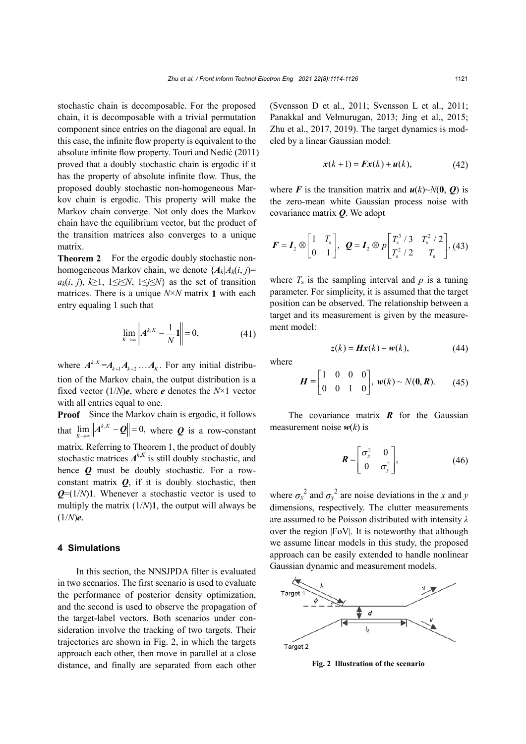stochastic chain is decomposable. For the proposed chain, it is decomposable with a trivial permutation component since entries on the diagonal are equal. In this case, the infinite flow property is equivalent to the absolute infinite flow property. Touri and Nedić (2011) proved that a doubly stochastic chain is ergodic if it has the property of absolute infinite flow. Thus, the proposed doubly stochastic non-homogeneous Markov chain is ergodic. This property will make the Markov chain converge. Not only does the Markov chain have the equilibrium vector, but the product of the transition matrices also converges to a unique matrix.

**Theorem 2** For the ergodic doubly stochastic nonhomogeneous Markov chain, we denote  $\{A_k | A_k(i, i) =$ *a<sub>k</sub>*(*i*, *j*),  $k≥1$ ,  $1≤i≤N$ ,  $1≤j≤N$ } as the set of transition matrices. There is a unique *N*×*N* matrix **1** with each entry equaling 1 such that

$$
\lim_{K \to \infty} \left\| A^{k,K} - \frac{1}{N} 1 \right\| = 0,
$$
\n(41)

where  $A^{k,K} = A_{k+1} A_{k+2} \dots A_k$ . For any initial distribution of the Markov chain, the output distribution is a fixed vector  $(1/N)\mathbf{e}$ , where  $\mathbf{e}$  denotes the  $N \times 1$  vector with all entries equal to one.

**Proof** Since the Markov chain is ergodic, it follows that  $\lim_{K \to \infty} ||A^{k,K} - \mathbf{Q}|| = 0$ , where *Q* is a row-constant matrix. Referring to Theorem 1, the product of doubly stochastic matrices  $A^{k,K}$  is still doubly stochastic, and hence *Q* must be doubly stochastic. For a rowconstant matrix  $Q$ , if it is doubly stochastic, then  $Q=(1/N)$ **1**. Whenever a stochastic vector is used to multiply the matrix (1/*N*)**1**, the output will always be (1/*N*)*e*.

### **4 Simulations**

In this section, the NNSJPDA filter is evaluated in two scenarios. The first scenario is used to evaluate the performance of posterior density optimization, and the second is used to observe the propagation of the target-label vectors. Both scenarios under consideration involve the tracking of two targets. Their trajectories are shown in Fig. 2, in which the targets approach each other, then move in parallel at a close distance, and finally are separated from each other (Svensson D et al., 2011; Svensson L et al., 2011; Panakkal and Velmurugan, 2013; Jing et al., 2015; Zhu et al., 2017, 2019). The target dynamics is modeled by a linear Gaussian model:

$$
\mathbf{x}(k+1) = \mathbf{F}\mathbf{x}(k) + \mathbf{u}(k),\tag{42}
$$

where *F* is the transition matrix and  $u(k) \sim N(0, 0)$  is the zero-mean white Gaussian process noise with covariance matrix *Q*. We adopt

$$
\boldsymbol{F} = \boldsymbol{I}_2 \otimes \begin{bmatrix} 1 & T_s \\ 0 & 1 \end{bmatrix}, \ \ \boldsymbol{Q} = \boldsymbol{I}_2 \otimes p \begin{bmatrix} T_s^3 / 3 & T_s^2 / 2 \\ T_s^2 / 2 & T_s \end{bmatrix}, (43)
$$

where  $T_s$  is the sampling interval and  $p$  is a tuning parameter. For simplicity, it is assumed that the target position can be observed. The relationship between a target and its measurement is given by the measurement model:

$$
z(k) = Hx(k) + w(k), \qquad (44)
$$

where

$$
\boldsymbol{H} = \begin{bmatrix} 1 & 0 & 0 & 0 \\ 0 & 0 & 1 & 0 \end{bmatrix}, \ \boldsymbol{w}(k) \sim N(\boldsymbol{0}, \boldsymbol{R}). \tag{45}
$$

The covariance matrix  $\vec{R}$  for the Gaussian measurement noise  $w(k)$  is

$$
\boldsymbol{R} = \begin{bmatrix} \sigma_x^2 & 0 \\ 0 & \sigma_y^2 \end{bmatrix}, \tag{46}
$$

where  $\sigma_x^2$  and  $\sigma_y^2$  are noise deviations in the *x* and *y* dimensions, respectively. The clutter measurements are assumed to be Poisson distributed with intensity *λ* over the region |FoV|. It is noteworthy that although we assume linear models in this study, the proposed approach can be easily extended to handle nonlinear Gaussian dynamic and measurement models.



**Fig. 2 Illustration of the scenario**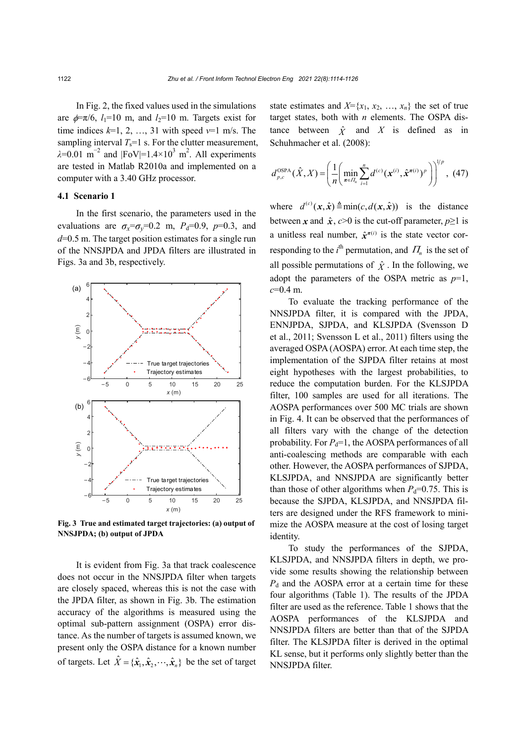In Fig. 2, the fixed values used in the simulations are  $\phi = \pi/6$ , *l*<sub>1</sub>=10 m, and *l*<sub>2</sub>=10 m. Targets exist for time indices  $k=1, 2, ..., 31$  with speed  $v=1$  m/s. The sampling interval  $T_s=1$  s. For the clutter measurement,  $\lambda$ =0.01 m<sup>-2</sup> and |FoV|=1.4×10<sup>3</sup> m<sup>2</sup>. All experiments are tested in Matlab R2010a and implemented on a computer with a 3.40 GHz processor.

#### **4.1 Scenario 1**

In the first scenario, the parameters used in the evaluations are  $\sigma_x = \sigma_y = 0.2$  m,  $P_d = 0.9$ ,  $p = 0.3$ , and *d*=0.5 m. The target position estimates for a single run of the NNSJPDA and JPDA filters are illustrated in Figs. 3a and 3b, respectively.



**Fig. 3 True and estimated target trajectories: (a) output of NNSJPDA; (b) output of JPDA** 

It is evident from Fig. 3a that track coalescence does not occur in the NNSJPDA filter when targets are closely spaced, whereas this is not the case with the JPDA filter, as shown in Fig. 3b. The estimation accuracy of the algorithms is measured using the optimal sub-pattern assignment (OSPA) error distance. As the number of targets is assumed known, we present only the OSPA distance for a known number of targets. Let  $\hat{X} = {\hat{x}_1, \hat{x}_2, \dots, \hat{x}_n}$  be the set of target state estimates and  $X = \{x_1, x_2, \ldots, x_n\}$  the set of true target states, both with *n* elements. The OSPA distance between  $\hat{X}$  and  $X$  is defined as in Schuhmacher et al. (2008):

$$
d_{p,c}^{\text{OSPA}}(\hat{X},X) = \left(\frac{1}{n} \left( \min_{\pi \in \Pi_n} \sum_{i=1}^n d^{(c)}(\mathbf{x}^{(i)}, \hat{\mathbf{x}}^{\pi(i)})^p \right) \right)^{1/p}, (47)
$$

where  $d^{(c)}(x, \hat{x}) \triangleq min(c, d(x, \hat{x}))$  is the distance between *x* and  $\hat{x}$ ,  $c > 0$  is the cut-off parameter,  $p \ge 1$  is a unitless real number,  $\hat{x}^{\pi(i)}$  is the state vector corresponding to the *i*<sup>th</sup> permutation, and  $\Pi_n$  is the set of all possible permutations of  $\hat{X}$ . In the following, we adopt the parameters of the OSPA metric as *p*=1, *c*=0.4 m.

To evaluate the tracking performance of the NNSJPDA filter, it is compared with the JPDA, ENNJPDA, SJPDA, and KLSJPDA (Svensson D et al., 2011; Svensson L et al., 2011) filters using the averaged OSPA (AOSPA) error. At each time step, the implementation of the SJPDA filter retains at most eight hypotheses with the largest probabilities, to reduce the computation burden. For the KLSJPDA filter, 100 samples are used for all iterations. The AOSPA performances over 500 MC trials are shown in Fig. 4. It can be observed that the performances of all filters vary with the change of the detection probability. For  $P_d=1$ , the AOSPA performances of all anti-coalescing methods are comparable with each other. However, the AOSPA performances of SJPDA, KLSJPDA, and NNSJPDA are significantly better than those of other algorithms when  $P_d=0.75$ . This is because the SJPDA, KLSJPDA, and NNSJPDA filters are designed under the RFS framework to minimize the AOSPA measure at the cost of losing target identity.

To study the performances of the SJPDA, KLSJPDA, and NNSJPDA filters in depth, we provide some results showing the relationship between *P*d and the AOSPA error at a certain time for these four algorithms (Table 1). The results of the JPDA filter are used as the reference. Table 1 shows that the AOSPA performances of the KLSJPDA and NNSJPDA filters are better than that of the SJPDA filter. The KLSJPDA filter is derived in the optimal KL sense, but it performs only slightly better than the NNSJPDA filter.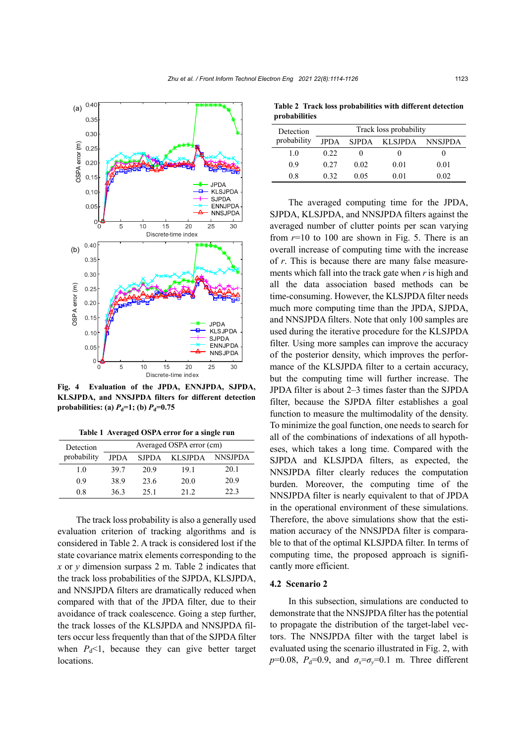

**Fig. 4 Evaluation of the JPDA, ENNJPDA, SJPDA, KLSJPDA, and NNSJPDA filters for different detection probabilities:** (a)  $P_d=1$ ; (b)  $P_d=0.75$ 

| Table 1 Averaged OSPA error for a single run |  |  |  |  |  |  |
|----------------------------------------------|--|--|--|--|--|--|
|----------------------------------------------|--|--|--|--|--|--|

| Detection   | Averaged OSPA error (cm) |              |         |                |  |
|-------------|--------------------------|--------------|---------|----------------|--|
| probability | JPDA                     | <b>SJPDA</b> | KLSJPDA | <b>NNSJPDA</b> |  |
| 1.0         | 39.7                     | 20.9         | 19.1    | 20.1           |  |
| 0.9         | 38.9                     | 23.6         | 20.0    | 20.9           |  |
| 0.8         | 36.3                     | 25.1         | 21.2    | 22.3           |  |

The track loss probability is also a generally used evaluation criterion of tracking algorithms and is considered in Table 2. A track is considered lost if the state covariance matrix elements corresponding to the *x* or *y* dimension surpass 2 m. Table 2 indicates that the track loss probabilities of the SJPDA, KLSJPDA, and NNSJPDA filters are dramatically reduced when compared with that of the JPDA filter, due to their avoidance of track coalescence. Going a step further, the track losses of the KLSJPDA and NNSJPDA filters occur less frequently than that of the SJPDA filter when  $P_d$ <1, because they can give better target locations.

**Table 2 Track loss probabilities with different detection probabilities** 

| Detection   | Track loss probability |      |               |         |
|-------------|------------------------|------|---------------|---------|
| probability | <b>JPDA</b>            |      | SJPDA KLSJPDA | NNSJPDA |
| 1.0         | 0.22                   |      |               | 0       |
| 0.9         | 0.27                   | 0.02 | 0.01          | 0.01    |
| 0.8         | 0.32                   | 0.05 | 0.01          | 0.02    |

The averaged computing time for the JPDA, SJPDA, KLSJPDA, and NNSJPDA filters against the averaged number of clutter points per scan varying from  $r=10$  to 100 are shown in Fig. 5. There is an overall increase of computing time with the increase of *r*. This is because there are many false measurements which fall into the track gate when *r* is high and all the data association based methods can be time-consuming. However, the KLSJPDA filter needs much more computing time than the JPDA, SJPDA, and NNSJPDA filters. Note that only 100 samples are used during the iterative procedure for the KLSJPDA filter. Using more samples can improve the accuracy of the posterior density, which improves the performance of the KLSJPDA filter to a certain accuracy, but the computing time will further increase. The JPDA filter is about 2–3 times faster than the SJPDA filter, because the SJPDA filter establishes a goal function to measure the multimodality of the density. To minimize the goal function, one needs to search for all of the combinations of indexations of all hypotheses, which takes a long time. Compared with the SJPDA and KLSJPDA filters, as expected, the NNSJPDA filter clearly reduces the computation burden. Moreover, the computing time of the NNSJPDA filter is nearly equivalent to that of JPDA in the operational environment of these simulations. Therefore, the above simulations show that the estimation accuracy of the NNSJPDA filter is comparable to that of the optimal KLSJPDA filter. In terms of computing time, the proposed approach is significantly more efficient.

## **4.2 Scenario 2**

In this subsection, simulations are conducted to demonstrate that the NNSJPDA filter has the potential to propagate the distribution of the target-label vectors. The NNSJPDA filter with the target label is evaluated using the scenario illustrated in Fig. 2, with  $p=0.08$ ,  $P_d=0.9$ , and  $\sigma_x=\sigma_y=0.1$  m. Three different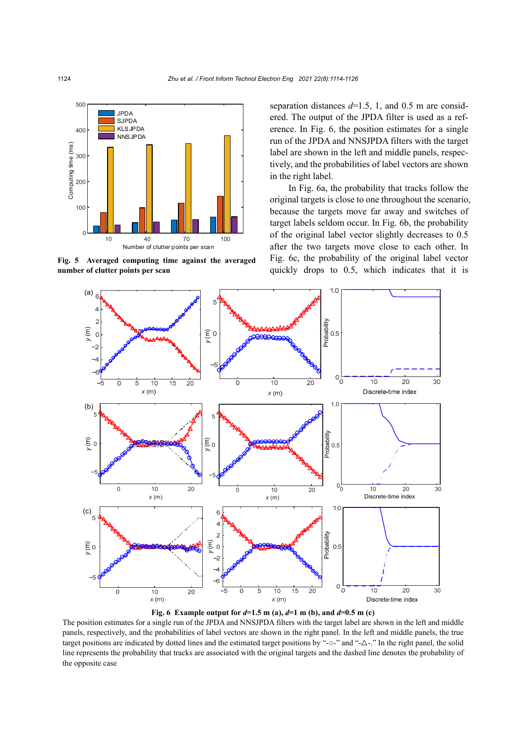

**Fig. 5 Averaged computing time against the averaged**

separation distances  $d=1.5$ , 1, and 0.5 m are considered. The output of the JPDA filter is used as a reference. In Fig. 6, the position estimates for a single run of the JPDA and NNSJPDA filters with the target label are shown in the left and middle panels, respectively, and the probabilities of label vectors are shown in the right label.

In Fig. 6a, the probability that tracks follow the original targets is close to one throughout the scenario, because the targets move far away and switches of target labels seldom occur. In Fig. 6b, the probability of the original label vector slightly decreases to 0.5 after the two targets move close to each other. In Fig. 6c, the probability of the original label vector quickly drops to 0.5, which indicates that it is





The position estimates for a single run of the JPDA and NNSJPDA filters with the target label are shown in the left and middle panels, respectively, and the probabilities of label vectors are shown in the right panel. In the left and middle panels, the true target positions are indicated by dotted lines and the estimated target positions by "-○-" and "-△-." In the right panel, the solid line represents the probability that tracks are associated with the original targets and the dashed line denotes the probability of the opposite case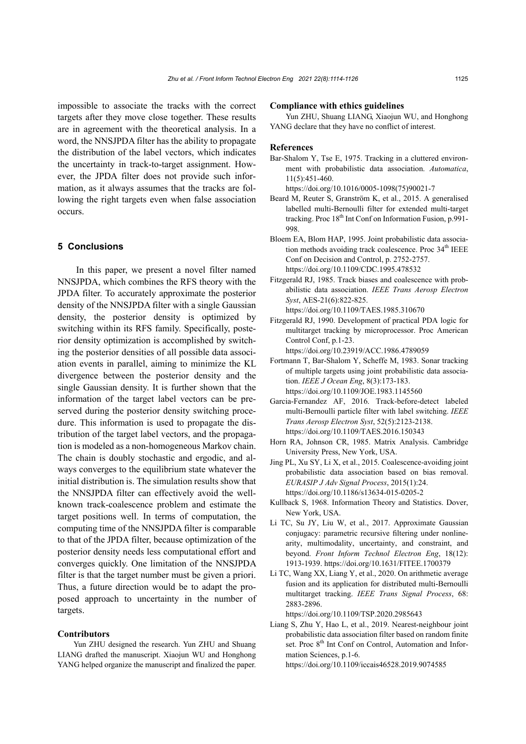impossible to associate the tracks with the correct targets after they move close together. These results are in agreement with the theoretical analysis. In a word, the NNSJPDA filter has the ability to propagate the distribution of the label vectors, which indicates the uncertainty in track-to-target assignment. However, the JPDA filter does not provide such information, as it always assumes that the tracks are following the right targets even when false association occurs.

## **5 Conclusions**

In this paper, we present a novel filter named NNSJPDA, which combines the RFS theory with the JPDA filter. To accurately approximate the posterior density of the NNSJPDA filter with a single Gaussian density, the posterior density is optimized by switching within its RFS family. Specifically, posterior density optimization is accomplished by switching the posterior densities of all possible data association events in parallel, aiming to minimize the KL divergence between the posterior density and the single Gaussian density. It is further shown that the information of the target label vectors can be preserved during the posterior density switching procedure. This information is used to propagate the distribution of the target label vectors, and the propagation is modeled as a non-homogeneous Markov chain. The chain is doubly stochastic and ergodic, and always converges to the equilibrium state whatever the initial distribution is. The simulation results show that the NNSJPDA filter can effectively avoid the wellknown track-coalescence problem and estimate the target positions well. In terms of computation, the computing time of the NNSJPDA filter is comparable to that of the JPDA filter, because optimization of the posterior density needs less computational effort and converges quickly. One limitation of the NNSJPDA filter is that the target number must be given a priori. Thus, a future direction would be to adapt the proposed approach to uncertainty in the number of targets.

### **Contributors**

Yun ZHU designed the research. Yun ZHU and Shuang LIANG drafted the manuscript. Xiaojun WU and Honghong YANG helped organize the manuscript and finalized the paper.

#### **Compliance with ethics guidelines**

Yun ZHU, Shuang LIANG, Xiaojun WU, and Honghong YANG declare that they have no conflict of interest.

#### **References**

Bar-Shalom Y, Tse E, 1975. Tracking in a cluttered environment with probabilistic data association. *Automatica*, 11(5):451-460.

https://doi.org/10.1016/0005-1098(75)90021-7

- Beard M, Reuter S, Granström K, et al., 2015. A generalised labelled multi-Bernoulli filter for extended multi-target tracking. Proc 18<sup>th</sup> Int Conf on Information Fusion, p.991-998.
- Bloem EA, Blom HAP, 1995. Joint probabilistic data association methods avoiding track coalescence. Proc  $34<sup>th</sup> IEEE$ Conf on Decision and Control, p. 2752-2757. https://doi.org/10.1109/CDC.1995.478532
- Fitzgerald RJ, 1985. Track biases and coalescence with probabilistic data association. *IEEE Trans Aerosp Electron Syst*, AES-21(6):822-825. https://doi.org/10.1109/TAES.1985.310670
- Fitzgerald RJ, 1990. Development of practical PDA logic for multitarget tracking by microprocessor. Proc American Control Conf, p.1-23. https://doi.org/10.23919/ACC.1986.4789059
- Fortmann T, Bar-Shalom Y, Scheffe M, 1983. Sonar tracking of multiple targets using joint probabilistic data association. *IEEE J Ocean Eng*, 8(3):173-183. https://doi.org/10.1109/JOE.1983.1145560
- Garcia-Fernandez AF, 2016. Track-before-detect labeled multi-Bernoulli particle filter with label switching. *IEEE Trans Aerosp Electron Syst*, 52(5):2123-2138. https://doi.org/10.1109/TAES.2016.150343
- Horn RA, Johnson CR, 1985. Matrix Analysis. Cambridge University Press, New York, USA.
- Jing PL, Xu SY, Li X, et al., 2015. Coalescence-avoiding joint probabilistic data association based on bias removal. *EURASIP J Adv Signal Process*, 2015(1):24. https://doi.org/10.1186/s13634-015-0205-2
- Kullback S, 1968. Information Theory and Statistics. Dover, New York, USA.
- Li TC, Su JY, Liu W, et al., 2017. Approximate Gaussian conjugacy: parametric recursive filtering under nonlinearity, multimodality, uncertainty, and constraint, and beyond. *Front Inform Technol Electron Eng*, 18(12): 1913-1939. https://doi.org/10.1631/FITEE.1700379
- Li TC, Wang XX, Liang Y, et al., 2020. On arithmetic average fusion and its application for distributed multi-Bernoulli multitarget tracking. *IEEE Trans Signal Process*, 68: 2883-2896.

https://doi.org/10.1109/TSP.2020.2985643

Liang S, Zhu Y, Hao L, et al., 2019. Nearest-neighbour joint probabilistic data association filter based on random finite set. Proc 8<sup>th</sup> Int Conf on Control, Automation and Information Sciences, p.1-6.

https://doi.org/10.1109/iccais46528.2019.9074585